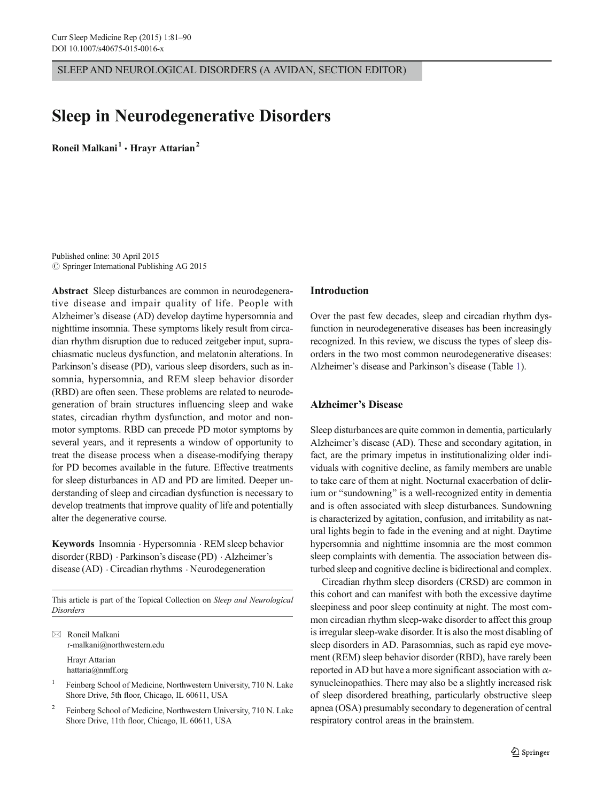SLEEP AND NEUROLOGICAL DISORDERS (A AVIDAN, SECTION EDITOR)

# Sleep in Neurodegenerative Disorders

Roneil Malkani<sup>1</sup>  $\cdot$  Hravr Attarian<sup>2</sup>

Published online: 30 April 2015  $\circ$  Springer International Publishing AG 2015

Abstract Sleep disturbances are common in neurodegenerative disease and impair quality of life. People with Alzheimer's disease (AD) develop daytime hypersomnia and nighttime insomnia. These symptoms likely result from circadian rhythm disruption due to reduced zeitgeber input, suprachiasmatic nucleus dysfunction, and melatonin alterations. In Parkinson's disease (PD), various sleep disorders, such as insomnia, hypersomnia, and REM sleep behavior disorder (RBD) are often seen. These problems are related to neurodegeneration of brain structures influencing sleep and wake states, circadian rhythm dysfunction, and motor and nonmotor symptoms. RBD can precede PD motor symptoms by several years, and it represents a window of opportunity to treat the disease process when a disease-modifying therapy for PD becomes available in the future. Effective treatments for sleep disturbances in AD and PD are limited. Deeper understanding of sleep and circadian dysfunction is necessary to develop treatments that improve quality of life and potentially alter the degenerative course.

Keywords Insomnia . Hypersomnia . REM sleep behavior disorder (RBD) . Parkinson's disease (PD) . Alzheimer's disease (AD) . Circadian rhythms . Neurodegeneration

This article is part of the Topical Collection on Sleep and Neurological Disorders

 $\boxtimes$  Roneil Malkani r-malkani@northwestern.edu

Hrayr Attarian hattaria@nmff.org

Feinberg School of Medicine, Northwestern University, 710 N. Lake Shore Drive, 5th floor, Chicago, IL 60611, USA

<sup>2</sup> Feinberg School of Medicine, Northwestern University, 710 N. Lake Shore Drive, 11th floor, Chicago, IL 60611, USA

#### Introduction

Over the past few decades, sleep and circadian rhythm dysfunction in neurodegenerative diseases has been increasingly recognized. In this review, we discuss the types of sleep disorders in the two most common neurodegenerative diseases: Alzheimer's disease and Parkinson's disease (Table [1\)](#page-1-0).

# Alzheimer's Disease

Sleep disturbances are quite common in dementia, particularly Alzheimer's disease (AD). These and secondary agitation, in fact, are the primary impetus in institutionalizing older individuals with cognitive decline, as family members are unable to take care of them at night. Nocturnal exacerbation of delirium or "sundowning" is a well-recognized entity in dementia and is often associated with sleep disturbances. Sundowning is characterized by agitation, confusion, and irritability as natural lights begin to fade in the evening and at night. Daytime hypersomnia and nighttime insomnia are the most common sleep complaints with dementia. The association between disturbed sleep and cognitive decline is bidirectional and complex.

Circadian rhythm sleep disorders (CRSD) are common in this cohort and can manifest with both the excessive daytime sleepiness and poor sleep continuity at night. The most common circadian rhythm sleep-wake disorder to affect this group is irregular sleep-wake disorder. It is also the most disabling of sleep disorders in AD. Parasomnias, such as rapid eye movement (REM) sleep behavior disorder (RBD), have rarely been reported in AD but have a more significant association with  $\alpha$ synucleinopathies. There may also be a slightly increased risk of sleep disordered breathing, particularly obstructive sleep apnea (OSA) presumably secondary to degeneration of central respiratory control areas in the brainstem.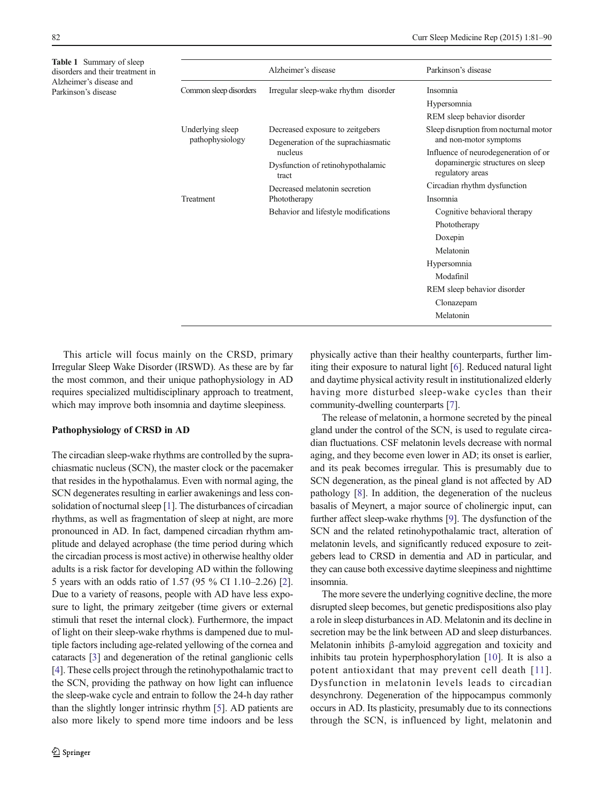<span id="page-1-0"></span>Table 1 Summary of sleep disorders and their treatment in Alzheimer's disease and Parkinson's disease

|                                      | Alzheimer's disease                                                                                                                            | Parkinson's disease                                                                          |
|--------------------------------------|------------------------------------------------------------------------------------------------------------------------------------------------|----------------------------------------------------------------------------------------------|
| Common sleep disorders               | Irregular sleep-wake rhythm disorder                                                                                                           | Insomnia                                                                                     |
|                                      |                                                                                                                                                | Hypersomnia                                                                                  |
|                                      |                                                                                                                                                | REM sleep behavior disorder                                                                  |
| Underlying sleep<br>pathophysiology  | Decreased exposure to zeitgebers                                                                                                               | Sleep disruption from nocturnal motor<br>and non-motor symptoms                              |
|                                      | Degeneration of the suprachias matic<br>nucleus<br>Dysfunction of retinohypothalamic<br>tract<br>Decreased melatonin secretion<br>Phototherapy |                                                                                              |
|                                      |                                                                                                                                                | Influence of neurodegeneration of or<br>dopaminergic structures on sleep<br>regulatory areas |
|                                      |                                                                                                                                                |                                                                                              |
|                                      |                                                                                                                                                | Treatment                                                                                    |
| Behavior and lifestyle modifications |                                                                                                                                                |                                                                                              |
|                                      | Phototherapy                                                                                                                                   |                                                                                              |
|                                      | Doxepin                                                                                                                                        |                                                                                              |
|                                      | Melatonin                                                                                                                                      |                                                                                              |
|                                      | Hypersomnia                                                                                                                                    |                                                                                              |
|                                      | Modafinil                                                                                                                                      |                                                                                              |
|                                      | REM sleep behavior disorder                                                                                                                    |                                                                                              |
|                                      | Clonazepam                                                                                                                                     |                                                                                              |
|                                      | Melatonin                                                                                                                                      |                                                                                              |

This article will focus mainly on the CRSD, primary Irregular Sleep Wake Disorder (IRSWD). As these are by far the most common, and their unique pathophysiology in AD requires specialized multidisciplinary approach to treatment, which may improve both insomnia and daytime sleepiness.

## Pathophysiology of CRSD in AD

The circadian sleep-wake rhythms are controlled by the suprachiasmatic nucleus (SCN), the master clock or the pacemaker that resides in the hypothalamus. Even with normal aging, the SCN degenerates resulting in earlier awakenings and less consolidation of nocturnal sleep [\[1](#page-6-0)]. The disturbances of circadian rhythms, as well as fragmentation of sleep at night, are more pronounced in AD. In fact, dampened circadian rhythm amplitude and delayed acrophase (the time period during which the circadian process is most active) in otherwise healthy older adults is a risk factor for developing AD within the following 5 years with an odds ratio of 1.57 (95 % CI 1.10–2.26) [[2\]](#page-6-0). Due to a variety of reasons, people with AD have less exposure to light, the primary zeitgeber (time givers or external stimuli that reset the internal clock). Furthermore, the impact of light on their sleep-wake rhythms is dampened due to multiple factors including age-related yellowing of the cornea and cataracts [\[3\]](#page-6-0) and degeneration of the retinal ganglionic cells [\[4](#page-6-0)]. These cells project through the retinohypothalamic tract to the SCN, providing the pathway on how light can influence the sleep-wake cycle and entrain to follow the 24-h day rather than the slightly longer intrinsic rhythm [[5\]](#page-6-0). AD patients are also more likely to spend more time indoors and be less physically active than their healthy counterparts, further limiting their exposure to natural light [\[6](#page-6-0)]. Reduced natural light and daytime physical activity result in institutionalized elderly having more disturbed sleep-wake cycles than their community-dwelling counterparts [\[7](#page-6-0)].

The release of melatonin, a hormone secreted by the pineal gland under the control of the SCN, is used to regulate circadian fluctuations. CSF melatonin levels decrease with normal aging, and they become even lower in AD; its onset is earlier, and its peak becomes irregular. This is presumably due to SCN degeneration, as the pineal gland is not affected by AD pathology [\[8](#page-6-0)]. In addition, the degeneration of the nucleus basalis of Meynert, a major source of cholinergic input, can further affect sleep-wake rhythms [[9](#page-6-0)]. The dysfunction of the SCN and the related retinohypothalamic tract, alteration of melatonin levels, and significantly reduced exposure to zeitgebers lead to CRSD in dementia and AD in particular, and they can cause both excessive daytime sleepiness and nighttime insomnia.

The more severe the underlying cognitive decline, the more disrupted sleep becomes, but genetic predispositions also play a role in sleep disturbances in AD. Melatonin and its decline in secretion may be the link between AD and sleep disturbances. Melatonin inhibits β-amyloid aggregation and toxicity and inhibits tau protein hyperphosphorylation [[10\]](#page-6-0). It is also a potent antioxidant that may prevent cell death [[11](#page-6-0)]. Dysfunction in melatonin levels leads to circadian desynchrony. Degeneration of the hippocampus commonly occurs in AD. Its plasticity, presumably due to its connections through the SCN, is influenced by light, melatonin and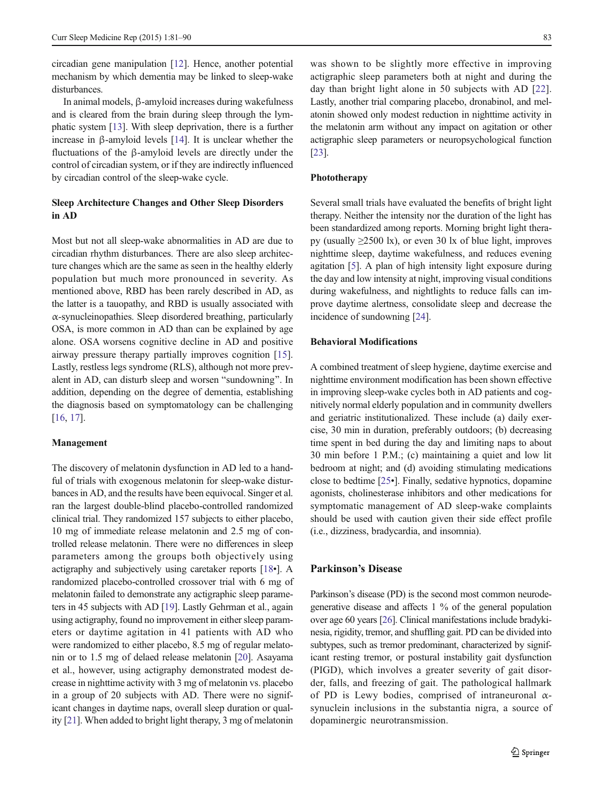circadian gene manipulation [\[12](#page-6-0)]. Hence, another potential mechanism by which dementia may be linked to sleep-wake disturbances.

In animal models, β-amyloid increases during wakefulness and is cleared from the brain during sleep through the lymphatic system [[13\]](#page-6-0). With sleep deprivation, there is a further increase in β-amyloid levels [[14\]](#page-6-0). It is unclear whether the fluctuations of the β-amyloid levels are directly under the control of circadian system, or if they are indirectly influenced by circadian control of the sleep-wake cycle.

# Sleep Architecture Changes and Other Sleep Disorders in AD

Most but not all sleep-wake abnormalities in AD are due to circadian rhythm disturbances. There are also sleep architecture changes which are the same as seen in the healthy elderly population but much more pronounced in severity. As mentioned above, RBD has been rarely described in AD, as the latter is a tauopathy, and RBD is usually associated with α-synucleinopathies. Sleep disordered breathing, particularly OSA, is more common in AD than can be explained by age alone. OSA worsens cognitive decline in AD and positive airway pressure therapy partially improves cognition [\[15](#page-6-0)]. Lastly, restless legs syndrome (RLS), although not more prevalent in AD, can disturb sleep and worsen "sundowning". In addition, depending on the degree of dementia, establishing the diagnosis based on symptomatology can be challenging [\[16,](#page-6-0) [17\]](#page-6-0).

#### Management

The discovery of melatonin dysfunction in AD led to a handful of trials with exogenous melatonin for sleep-wake disturbances in AD, and the results have been equivocal. Singer et al. ran the largest double-blind placebo-controlled randomized clinical trial. They randomized 157 subjects to either placebo, 10 mg of immediate release melatonin and 2.5 mg of controlled release melatonin. There were no differences in sleep parameters among the groups both objectively using actigraphy and subjectively using caretaker reports [[18](#page-6-0)•]. A randomized placebo-controlled crossover trial with 6 mg of melatonin failed to demonstrate any actigraphic sleep parameters in 45 subjects with AD [\[19\]](#page-6-0). Lastly Gehrman et al., again using actigraphy, found no improvement in either sleep parameters or daytime agitation in 41 patients with AD who were randomized to either placebo, 8.5 mg of regular melatonin or to 1.5 mg of delaed release melatonin [[20](#page-6-0)]. Asayama et al., however, using actigraphy demonstrated modest decrease in nighttime activity with 3 mg of melatonin vs. placebo in a group of 20 subjects with AD. There were no significant changes in daytime naps, overall sleep duration or quality [\[21\]](#page-6-0). When added to bright light therapy, 3 mg of melatonin

was shown to be slightly more effective in improving actigraphic sleep parameters both at night and during the day than bright light alone in 50 subjects with AD [\[22](#page-6-0)]. Lastly, another trial comparing placebo, dronabinol, and melatonin showed only modest reduction in nighttime activity in the melatonin arm without any impact on agitation or other actigraphic sleep parameters or neuropsychological function [\[23\]](#page-6-0).

## Phototherapy

Several small trials have evaluated the benefits of bright light therapy. Neither the intensity nor the duration of the light has been standardized among reports. Morning bright light therapy (usually  $\geq$ 2500 lx), or even 30 lx of blue light, improves nighttime sleep, daytime wakefulness, and reduces evening agitation [\[5](#page-6-0)]. A plan of high intensity light exposure during the day and low intensity at night, improving visual conditions during wakefulness, and nightlights to reduce falls can improve daytime alertness, consolidate sleep and decrease the incidence of sundowning [\[24\]](#page-6-0).

### Behavioral Modifications

A combined treatment of sleep hygiene, daytime exercise and nighttime environment modification has been shown effective in improving sleep-wake cycles both in AD patients and cognitively normal elderly population and in community dwellers and geriatric institutionalized. These include (a) daily exercise, 30 min in duration, preferably outdoors; (b) decreasing time spent in bed during the day and limiting naps to about 30 min before 1 P.M.; (c) maintaining a quiet and low lit bedroom at night; and (d) avoiding stimulating medications close to bedtime [[25](#page-6-0)•]. Finally, sedative hypnotics, dopamine agonists, cholinesterase inhibitors and other medications for symptomatic management of AD sleep-wake complaints should be used with caution given their side effect profile (i.e., dizziness, bradycardia, and insomnia).

## Parkinson's Disease

Parkinson's disease (PD) is the second most common neurodegenerative disease and affects 1 % of the general population over age 60 years [\[26\]](#page-6-0). Clinical manifestations include bradykinesia, rigidity, tremor, and shuffling gait. PD can be divided into subtypes, such as tremor predominant, characterized by significant resting tremor, or postural instability gait dysfunction (PIGD), which involves a greater severity of gait disorder, falls, and freezing of gait. The pathological hallmark of PD is Lewy bodies, comprised of intraneuronal  $\alpha$ synuclein inclusions in the substantia nigra, a source of dopaminergic neurotransmission.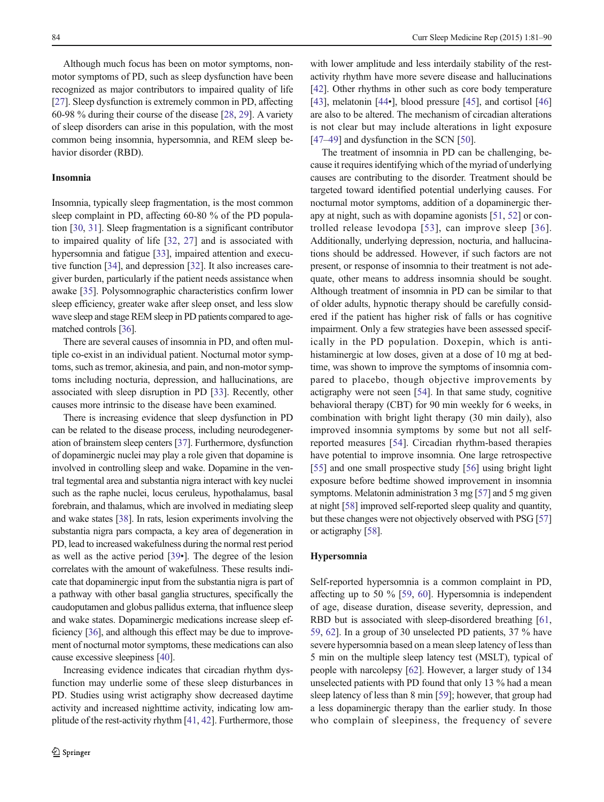Although much focus has been on motor symptoms, nonmotor symptoms of PD, such as sleep dysfunction have been recognized as major contributors to impaired quality of life [\[27\]](#page-6-0). Sleep dysfunction is extremely common in PD, affecting 60-98 % during their course of the disease [[28,](#page-6-0) [29](#page-6-0)]. A variety of sleep disorders can arise in this population, with the most common being insomnia, hypersomnia, and REM sleep behavior disorder (RBD).

## Insomnia

Insomnia, typically sleep fragmentation, is the most common sleep complaint in PD, affecting 60-80 % of the PD population [\[30,](#page-6-0) [31\]](#page-6-0). Sleep fragmentation is a significant contributor to impaired quality of life [\[32](#page-6-0), [27](#page-6-0)] and is associated with hypersomnia and fatigue [\[33\]](#page-7-0), impaired attention and executive function [\[34\]](#page-7-0), and depression [[32](#page-6-0)]. It also increases caregiver burden, particularly if the patient needs assistance when awake [\[35\]](#page-7-0). Polysomnographic characteristics confirm lower sleep efficiency, greater wake after sleep onset, and less slow wave sleep and stage REM sleep in PD patients compared to agematched controls [\[36](#page-7-0)].

There are several causes of insomnia in PD, and often multiple co-exist in an individual patient. Nocturnal motor symptoms, such as tremor, akinesia, and pain, and non-motor symptoms including nocturia, depression, and hallucinations, are associated with sleep disruption in PD [[33\]](#page-7-0). Recently, other causes more intrinsic to the disease have been examined.

There is increasing evidence that sleep dysfunction in PD can be related to the disease process, including neurodegeneration of brainstem sleep centers [\[37\]](#page-7-0). Furthermore, dysfunction of dopaminergic nuclei may play a role given that dopamine is involved in controlling sleep and wake. Dopamine in the ventral tegmental area and substantia nigra interact with key nuclei such as the raphe nuclei, locus ceruleus, hypothalamus, basal forebrain, and thalamus, which are involved in mediating sleep and wake states [\[38\]](#page-7-0). In rats, lesion experiments involving the substantia nigra pars compacta, a key area of degeneration in PD, lead to increased wakefulness during the normal rest period as well as the active period [\[39](#page-7-0)•]. The degree of the lesion correlates with the amount of wakefulness. These results indicate that dopaminergic input from the substantia nigra is part of a pathway with other basal ganglia structures, specifically the caudoputamen and globus pallidus externa, that influence sleep and wake states. Dopaminergic medications increase sleep efficiency [\[36\]](#page-7-0), and although this effect may be due to improvement of nocturnal motor symptoms, these medications can also cause excessive sleepiness [[40](#page-7-0)].

Increasing evidence indicates that circadian rhythm dysfunction may underlie some of these sleep disturbances in PD. Studies using wrist actigraphy show decreased daytime activity and increased nighttime activity, indicating low amplitude of the rest-activity rhythm [\[41](#page-7-0), [42](#page-7-0)]. Furthermore, those

with lower amplitude and less interdaily stability of the restactivity rhythm have more severe disease and hallucinations [\[42](#page-7-0)]. Other rhythms in other such as core body temperature [\[43](#page-7-0)], melatonin [\[44](#page-7-0)•], blood pressure [[45](#page-7-0)], and cortisol [\[46](#page-7-0)] are also to be altered. The mechanism of circadian alterations is not clear but may include alterations in light exposure [\[47](#page-7-0)–[49\]](#page-7-0) and dysfunction in the SCN [\[50\]](#page-7-0).

The treatment of insomnia in PD can be challenging, because it requires identifying which of the myriad of underlying causes are contributing to the disorder. Treatment should be targeted toward identified potential underlying causes. For nocturnal motor symptoms, addition of a dopaminergic therapy at night, such as with dopamine agonists [\[51,](#page-7-0) [52\]](#page-7-0) or controlled release levodopa [[53](#page-7-0)], can improve sleep [[36](#page-7-0)]. Additionally, underlying depression, nocturia, and hallucinations should be addressed. However, if such factors are not present, or response of insomnia to their treatment is not adequate, other means to address insomnia should be sought. Although treatment of insomnia in PD can be similar to that of older adults, hypnotic therapy should be carefully considered if the patient has higher risk of falls or has cognitive impairment. Only a few strategies have been assessed specifically in the PD population. Doxepin, which is antihistaminergic at low doses, given at a dose of 10 mg at bedtime, was shown to improve the symptoms of insomnia compared to placebo, though objective improvements by actigraphy were not seen [\[54](#page-7-0)]. In that same study, cognitive behavioral therapy (CBT) for 90 min weekly for 6 weeks, in combination with bright light therapy (30 min daily), also improved insomnia symptoms by some but not all selfreported measures [\[54](#page-7-0)]. Circadian rhythm-based therapies have potential to improve insomnia. One large retrospective [\[55](#page-7-0)] and one small prospective study [[56](#page-7-0)] using bright light exposure before bedtime showed improvement in insomnia symptoms. Melatonin administration 3 mg [\[57\]](#page-7-0) and 5 mg given at night [\[58\]](#page-7-0) improved self-reported sleep quality and quantity, but these changes were not objectively observed with PSG [\[57](#page-7-0)] or actigraphy [\[58\]](#page-7-0).

#### Hypersomnia

Self-reported hypersomnia is a common complaint in PD, affecting up to 50 % [\[59](#page-7-0), [60\]](#page-7-0). Hypersomnia is independent of age, disease duration, disease severity, depression, and RBD but is associated with sleep-disordered breathing [[61,](#page-7-0) [59,](#page-7-0) [62](#page-7-0)]. In a group of 30 unselected PD patients, 37 % have severe hypersomnia based on a mean sleep latency of less than 5 min on the multiple sleep latency test (MSLT), typical of people with narcolepsy [\[62\]](#page-7-0). However, a larger study of 134 unselected patients with PD found that only 13 % had a mean sleep latency of less than 8 min [[59](#page-7-0)]; however, that group had a less dopaminergic therapy than the earlier study. In those who complain of sleepiness, the frequency of severe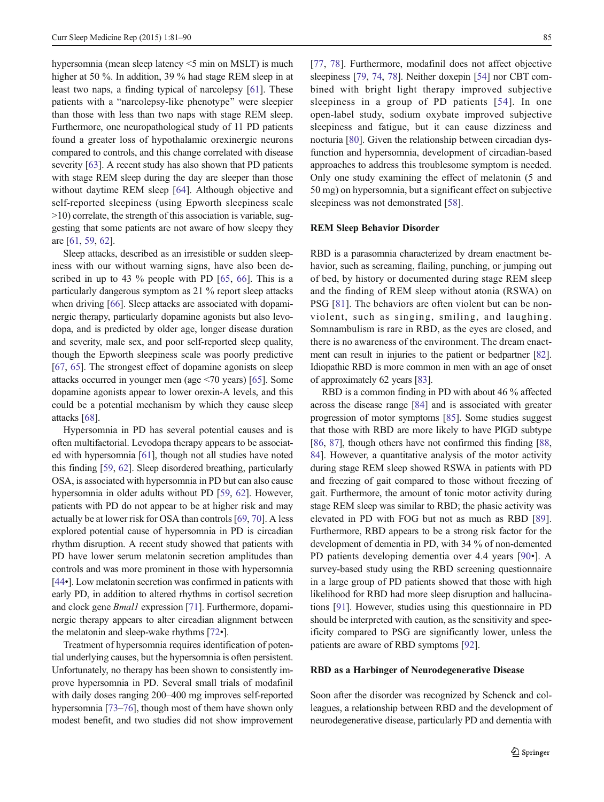hypersomnia (mean sleep latency <5 min on MSLT) is much higher at 50 %. In addition, 39 % had stage REM sleep in at least two naps, a finding typical of narcolepsy [[61](#page-7-0)]. These patients with a "narcolepsy-like phenotype" were sleepier than those with less than two naps with stage REM sleep. Furthermore, one neuropathological study of 11 PD patients found a greater loss of hypothalamic orexinergic neurons compared to controls, and this change correlated with disease severity [\[63](#page-7-0)]. A recent study has also shown that PD patients with stage REM sleep during the day are sleeper than those without daytime REM sleep [[64\]](#page-7-0). Although objective and self-reported sleepiness (using Epworth sleepiness scale >10) correlate, the strength of this association is variable, suggesting that some patients are not aware of how sleepy they are [\[61](#page-7-0), [59](#page-7-0), [62](#page-7-0)].

Sleep attacks, described as an irresistible or sudden sleepiness with our without warning signs, have also been described in up to 43 % people with PD [\[65](#page-7-0), [66](#page-7-0)]. This is a particularly dangerous symptom as 21 % report sleep attacks when driving [[66](#page-7-0)]. Sleep attacks are associated with dopaminergic therapy, particularly dopamine agonists but also levodopa, and is predicted by older age, longer disease duration and severity, male sex, and poor self-reported sleep quality, though the Epworth sleepiness scale was poorly predictive [\[67,](#page-7-0) [65](#page-7-0)]. The strongest effect of dopamine agonists on sleep attacks occurred in younger men (age <70 years) [[65\]](#page-7-0). Some dopamine agonists appear to lower orexin-A levels, and this could be a potential mechanism by which they cause sleep attacks [[68](#page-7-0)].

Hypersomnia in PD has several potential causes and is often multifactorial. Levodopa therapy appears to be associated with hypersomnia [[61\]](#page-7-0), though not all studies have noted this finding [[59,](#page-7-0) [62\]](#page-7-0). Sleep disordered breathing, particularly OSA, is associated with hypersomnia in PD but can also cause hypersomnia in older adults without PD [\[59,](#page-7-0) [62](#page-7-0)]. However, patients with PD do not appear to be at higher risk and may actually be at lower risk for OSA than controls [\[69,](#page-7-0) [70\]](#page-8-0). A less explored potential cause of hypersomnia in PD is circadian rhythm disruption. A recent study showed that patients with PD have lower serum melatonin secretion amplitudes than controls and was more prominent in those with hypersomnia [\[44](#page-7-0)•]. Low melatonin secretion was confirmed in patients with early PD, in addition to altered rhythms in cortisol secretion and clock gene Bmal1 expression [\[71\]](#page-8-0). Furthermore, dopaminergic therapy appears to alter circadian alignment between the melatonin and sleep-wake rhythms [\[72](#page-8-0)•].

Treatment of hypersomnia requires identification of potential underlying causes, but the hypersomnia is often persistent. Unfortunately, no therapy has been shown to consistently improve hypersomnia in PD. Several small trials of modafinil with daily doses ranging 200–400 mg improves self-reported hypersomnia [[73](#page-8-0)–[76](#page-8-0)], though most of them have shown only modest benefit, and two studies did not show improvement [\[77](#page-8-0), [78\]](#page-8-0). Furthermore, modafinil does not affect objective sleepiness [\[79](#page-8-0), [74,](#page-8-0) [78](#page-8-0)]. Neither doxepin [\[54](#page-7-0)] nor CBT combined with bright light therapy improved subjective sleepiness in a group of PD patients [[54\]](#page-7-0). In one open-label study, sodium oxybate improved subjective sleepiness and fatigue, but it can cause dizziness and nocturia [\[80](#page-8-0)]. Given the relationship between circadian dysfunction and hypersomnia, development of circadian-based approaches to address this troublesome symptom is needed. Only one study examining the effect of melatonin (5 and 50 mg) on hypersomnia, but a significant effect on subjective sleepiness was not demonstrated [\[58](#page-7-0)].

# REM Sleep Behavior Disorder

RBD is a parasomnia characterized by dream enactment behavior, such as screaming, flailing, punching, or jumping out of bed, by history or documented during stage REM sleep and the finding of REM sleep without atonia (RSWA) on PSG [[81](#page-8-0)]. The behaviors are often violent but can be nonviolent, such as singing, smiling, and laughing. Somnambulism is rare in RBD, as the eyes are closed, and there is no awareness of the environment. The dream enactment can result in injuries to the patient or bedpartner [\[82\]](#page-8-0). Idiopathic RBD is more common in men with an age of onset of approximately 62 years [\[83\]](#page-8-0).

RBD is a common finding in PD with about 46 % affected across the disease range [\[84\]](#page-8-0) and is associated with greater progression of motor symptoms [\[85\]](#page-8-0). Some studies suggest that those with RBD are more likely to have PIGD subtype [\[86](#page-8-0), [87](#page-8-0)], though others have not confirmed this finding [\[88,](#page-8-0) [84](#page-8-0)]. However, a quantitative analysis of the motor activity during stage REM sleep showed RSWA in patients with PD and freezing of gait compared to those without freezing of gait. Furthermore, the amount of tonic motor activity during stage REM sleep was similar to RBD; the phasic activity was elevated in PD with FOG but not as much as RBD [\[89](#page-8-0)]. Furthermore, RBD appears to be a strong risk factor for the development of dementia in PD, with 34 % of non-demented PD patients developing dementia over 4.4 years [[90](#page-8-0)•]. A survey-based study using the RBD screening questionnaire in a large group of PD patients showed that those with high likelihood for RBD had more sleep disruption and hallucinations [[91\]](#page-8-0). However, studies using this questionnaire in PD should be interpreted with caution, as the sensitivity and specificity compared to PSG are significantly lower, unless the patients are aware of RBD symptoms [\[92\]](#page-8-0).

#### RBD as a Harbinger of Neurodegenerative Disease

Soon after the disorder was recognized by Schenck and colleagues, a relationship between RBD and the development of neurodegenerative disease, particularly PD and dementia with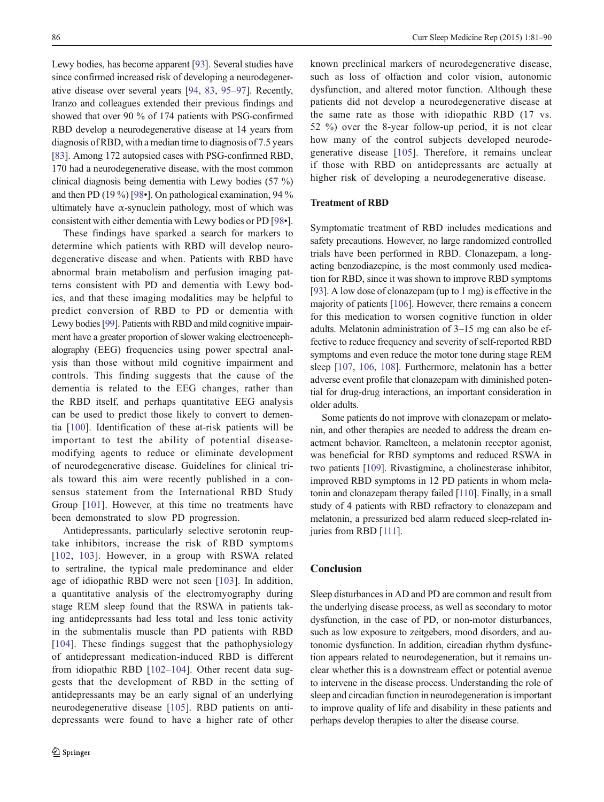Lewy bodies, has become apparent [[93](#page-8-0)]. Several studies have since confirmed increased risk of developing a neurodegenerative disease over several years [[94,](#page-8-0) [83,](#page-8-0) [95](#page-8-0)–[97\]](#page-8-0). Recently, Iranzo and colleagues extended their previous findings and showed that over 90 % of 174 patients with PSG-confirmed RBD develop a neurodegenerative disease at 14 years from diagnosis of RBD, with a median time to diagnosis of 7.5 years [\[83\]](#page-8-0). Among 172 autopsied cases with PSG-confirmed RBD, 170 had a neurodegenerative disease, with the most common clinical diagnosis being dementia with Lewy bodies (57 %) and then PD (19 %) [\[98](#page-8-0)•]. On pathological examination, 94 % ultimately have  $\alpha$ -synuclein pathology, most of which was consistent with either dementia with Lewy bodies or PD [\[98](#page-8-0)•].

These findings have sparked a search for markers to determine which patients with RBD will develop neurodegenerative disease and when. Patients with RBD have abnormal brain metabolism and perfusion imaging patterns consistent with PD and dementia with Lewy bodies, and that these imaging modalities may be helpful to predict conversion of RBD to PD or dementia with Lewy bodies [[99](#page-8-0)]. Patients with RBD and mild cognitive impairment have a greater proportion of slower waking electroencephalography (EEG) frequencies using power spectral analysis than those without mild cognitive impairment and controls. This finding suggests that the cause of the dementia is related to the EEG changes, rather than the RBD itself, and perhaps quantitative EEG analysis can be used to predict those likely to convert to dementia [[100](#page-8-0)]. Identification of these at-risk patients will be important to test the ability of potential diseasemodifying agents to reduce or eliminate development of neurodegenerative disease. Guidelines for clinical trials toward this aim were recently published in a consensus statement from the International RBD Study Group [[101](#page-8-0)]. However, at this time no treatments have been demonstrated to slow PD progression.

Antidepressants, particularly selective serotonin reuptake inhibitors, increase the risk of RBD symptoms [\[102,](#page-8-0) [103\]](#page-8-0). However, in a group with RSWA related to sertraline, the typical male predominance and elder age of idiopathic RBD were not seen [[103](#page-8-0)]. In addition, a quantitative analysis of the electromyography during stage REM sleep found that the RSWA in patients taking antidepressants had less total and less tonic activity in the submentalis muscle than PD patients with RBD [\[104\]](#page-9-0). These findings suggest that the pathophysiology of antidepressant medication-induced RBD is different from idiopathic RBD [\[102](#page-8-0)–[104\]](#page-9-0). Other recent data suggests that the development of RBD in the setting of antidepressants may be an early signal of an underlying neurodegenerative disease [[105](#page-9-0)]. RBD patients on antidepressants were found to have a higher rate of other

known preclinical markers of neurodegenerative disease, such as loss of olfaction and color vision, autonomic dysfunction, and altered motor function. Although these patients did not develop a neurodegenerative disease at the same rate as those with idiopathic RBD (17 vs. 52 %) over the 8-year follow-up period, it is not clear how many of the control subjects developed neurodegenerative disease [[105\]](#page-9-0). Therefore, it remains unclear if those with RBD on antidepressants are actually at higher risk of developing a neurodegenerative disease.

## Treatment of RBD

Symptomatic treatment of RBD includes medications and safety precautions. However, no large randomized controlled trials have been performed in RBD. Clonazepam, a longacting benzodiazepine, is the most commonly used medication for RBD, since it was shown to improve RBD symptoms [\[93](#page-8-0)]. A low dose of clonazepam (up to 1 mg) is effective in the majority of patients [\[106\]](#page-9-0). However, there remains a concern for this medication to worsen cognitive function in older adults. Melatonin administration of 3–15 mg can also be effective to reduce frequency and severity of self-reported RBD symptoms and even reduce the motor tone during stage REM sleep [\[107,](#page-9-0) [106](#page-9-0), [108](#page-9-0)]. Furthermore, melatonin has a better adverse event profile that clonazepam with diminished potential for drug-drug interactions, an important consideration in older adults.

Some patients do not improve with clonazepam or melatonin, and other therapies are needed to address the dream enactment behavior. Ramelteon, a melatonin receptor agonist, was beneficial for RBD symptoms and reduced RSWA in two patients [\[109\]](#page-9-0). Rivastigmine, a cholinesterase inhibitor, improved RBD symptoms in 12 PD patients in whom melatonin and clonazepam therapy failed [[110\]](#page-9-0). Finally, in a small study of 4 patients with RBD refractory to clonazepam and melatonin, a pressurized bed alarm reduced sleep-related injuries from RBD [[111\]](#page-9-0).

## Conclusion

Sleep disturbances in AD and PD are common and result from the underlying disease process, as well as secondary to motor dysfunction, in the case of PD, or non-motor disturbances, such as low exposure to zeitgebers, mood disorders, and autonomic dysfunction. In addition, circadian rhythm dysfunction appears related to neurodegeneration, but it remains unclear whether this is a downstream effect or potential avenue to intervene in the disease process. Understanding the role of sleep and circadian function in neurodegeneration is important to improve quality of life and disability in these patients and perhaps develop therapies to alter the disease course.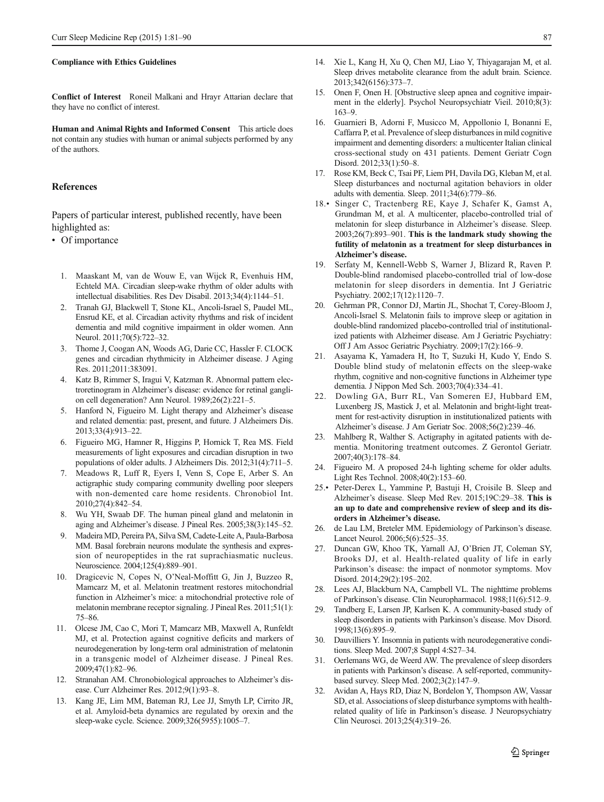#### <span id="page-6-0"></span>Compliance with Ethics Guidelines

Conflict of Interest Roneil Malkani and Hrayr Attarian declare that they have no conflict of interest.

Human and Animal Rights and Informed Consent This article does not contain any studies with human or animal subjects performed by any of the authors.

#### **References**

Papers of particular interest, published recently, have been highlighted as:

• Of importance

- 1. Maaskant M, van de Wouw E, van Wijck R, Evenhuis HM, Echteld MA. Circadian sleep-wake rhythm of older adults with intellectual disabilities. Res Dev Disabil. 2013;34(4):1144–51.
- 2. Tranah GJ, Blackwell T, Stone KL, Ancoli-Israel S, Paudel ML, Ensrud KE, et al. Circadian activity rhythms and risk of incident dementia and mild cognitive impairment in older women. Ann Neurol. 2011;70(5):722–32.
- 3. Thome J, Coogan AN, Woods AG, Darie CC, Hassler F. CLOCK genes and circadian rhythmicity in Alzheimer disease. J Aging Res. 2011;2011:383091.
- 4. Katz B, Rimmer S, Iragui V, Katzman R. Abnormal pattern electroretinogram in Alzheimer's disease: evidence for retinal ganglion cell degeneration? Ann Neurol. 1989;26(2):221–5.
- 5. Hanford N, Figueiro M. Light therapy and Alzheimer's disease and related dementia: past, present, and future. J Alzheimers Dis. 2013;33(4):913–22.
- 6. Figueiro MG, Hamner R, Higgins P, Hornick T, Rea MS. Field measurements of light exposures and circadian disruption in two populations of older adults. J Alzheimers Dis. 2012;31(4):711–5.
- 7. Meadows R, Luff R, Eyers I, Venn S, Cope E, Arber S. An actigraphic study comparing community dwelling poor sleepers with non-demented care home residents. Chronobiol Int. 2010;27(4):842–54.
- 8. Wu YH, Swaab DF. The human pineal gland and melatonin in aging and Alzheimer's disease. J Pineal Res. 2005;38(3):145–52.
- 9. Madeira MD, Pereira PA, Silva SM, Cadete-Leite A, Paula-Barbosa MM. Basal forebrain neurons modulate the synthesis and expression of neuropeptides in the rat suprachiasmatic nucleus. Neuroscience. 2004;125(4):889–901.
- 10. Dragicevic N, Copes N, O'Neal-Moffitt G, Jin J, Buzzeo R, Mamcarz M, et al. Melatonin treatment restores mitochondrial function in Alzheimer's mice: a mitochondrial protective role of melatonin membrane receptor signaling. J Pineal Res. 2011;51(1): 75–86.
- 11. Olcese JM, Cao C, Mori T, Mamcarz MB, Maxwell A, Runfeldt MJ, et al. Protection against cognitive deficits and markers of neurodegeneration by long-term oral administration of melatonin in a transgenic model of Alzheimer disease. J Pineal Res. 2009;47(1):82–96.
- 12. Stranahan AM. Chronobiological approaches to Alzheimer's disease. Curr Alzheimer Res. 2012;9(1):93–8.
- 13. Kang JE, Lim MM, Bateman RJ, Lee JJ, Smyth LP, Cirrito JR, et al. Amyloid-beta dynamics are regulated by orexin and the sleep-wake cycle. Science. 2009;326(5955):1005–7.
- 14. Xie L, Kang H, Xu Q, Chen MJ, Liao Y, Thiyagarajan M, et al. Sleep drives metabolite clearance from the adult brain. Science. 2013;342(6156):373–7.
- 15. Onen F, Onen H. [Obstructive sleep apnea and cognitive impairment in the elderly]. Psychol Neuropsychiatr Vieil. 2010;8(3): 163–9.
- 16. Guarnieri B, Adorni F, Musicco M, Appollonio I, Bonanni E, Caffarra P, et al. Prevalence of sleep disturbances in mild cognitive impairment and dementing disorders: a multicenter Italian clinical cross-sectional study on 431 patients. Dement Geriatr Cogn Disord. 2012;33(1):50–8.
- 17. Rose KM, Beck C, Tsai PF, Liem PH, Davila DG, Kleban M, et al. Sleep disturbances and nocturnal agitation behaviors in older adults with dementia. Sleep. 2011;34(6):779–86.
- 18.• Singer C, Tractenberg RE, Kaye J, Schafer K, Gamst A, Grundman M, et al. A multicenter, placebo-controlled trial of melatonin for sleep disturbance in Alzheimer's disease. Sleep. 2003;26(7):893–901. This is the landmark study showing the futility of melatonin as a treatment for sleep disturbances in Alzheimer's disease.
- 19. Serfaty M, Kennell-Webb S, Warner J, Blizard R, Raven P. Double-blind randomised placebo-controlled trial of low-dose melatonin for sleep disorders in dementia. Int J Geriatric Psychiatry. 2002;17(12):1120–7.
- 20. Gehrman PR, Connor DJ, Martin JL, Shochat T, Corey-Bloom J, Ancoli-Israel S. Melatonin fails to improve sleep or agitation in double-blind randomized placebo-controlled trial of institutionalized patients with Alzheimer disease. Am J Geriatric Psychiatry: Off J Am Assoc Geriatric Psychiatry. 2009;17(2):166–9.
- 21. Asayama K, Yamadera H, Ito T, Suzuki H, Kudo Y, Endo S. Double blind study of melatonin effects on the sleep-wake rhythm, cognitive and non-cognitive functions in Alzheimer type dementia. J Nippon Med Sch. 2003;70(4):334–41.
- 22. Dowling GA, Burr RL, Van Someren EJ, Hubbard EM, Luxenberg JS, Mastick J, et al. Melatonin and bright-light treatment for rest-activity disruption in institutionalized patients with Alzheimer's disease. J Am Geriatr Soc. 2008;56(2):239–46.
- 23. Mahlberg R, Walther S. Actigraphy in agitated patients with dementia. Monitoring treatment outcomes. Z Gerontol Geriatr. 2007;40(3):178–84.
- 24. Figueiro M. A proposed 24-h lighting scheme for older adults. Light Res Technol. 2008;40(2):153–60.
- 25.• Peter-Derex L, Yammine P, Bastuji H, Croisile B. Sleep and Alzheimer's disease. Sleep Med Rev. 2015;19C:29–38. This is an up to date and comprehensive review of sleep and its disorders in Alzheimer's disease.
- 26. de Lau LM, Breteler MM. Epidemiology of Parkinson's disease. Lancet Neurol. 2006;5(6):525–35.
- 27. Duncan GW, Khoo TK, Yarnall AJ, O'Brien JT, Coleman SY, Brooks DJ, et al. Health-related quality of life in early Parkinson's disease: the impact of nonmotor symptoms. Mov Disord. 2014;29(2):195–202.
- 28. Lees AJ, Blackburn NA, Campbell VL. The nighttime problems of Parkinson's disease. Clin Neuropharmacol. 1988;11(6):512–9.
- 29. Tandberg E, Larsen JP, Karlsen K. A community-based study of sleep disorders in patients with Parkinson's disease. Mov Disord. 1998;13(6):895–9.
- 30. Dauvilliers Y. Insomnia in patients with neurodegenerative conditions. Sleep Med. 2007;8 Suppl 4:S27–34.
- 31. Oerlemans WG, de Weerd AW. The prevalence of sleep disorders in patients with Parkinson's disease. A self-reported, communitybased survey. Sleep Med. 2002;3(2):147–9.
- 32. Avidan A, Hays RD, Diaz N, Bordelon Y, Thompson AW, Vassar SD, et al. Associations of sleep disturbance symptoms with healthrelated quality of life in Parkinson's disease. J Neuropsychiatry Clin Neurosci. 2013;25(4):319–26.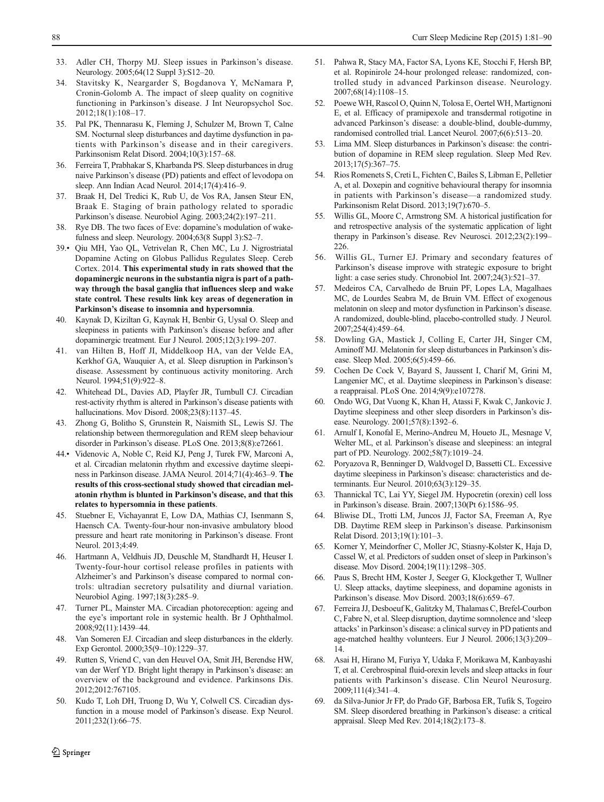- <span id="page-7-0"></span>33. Adler CH, Thorpy MJ. Sleep issues in Parkinson's disease. Neurology. 2005;64(12 Suppl 3):S12–20.
- 34. Stavitsky K, Neargarder S, Bogdanova Y, McNamara P, Cronin-Golomb A. The impact of sleep quality on cognitive functioning in Parkinson's disease. J Int Neuropsychol Soc. 2012;18(1):108–17.
- 35. Pal PK, Thennarasu K, Fleming J, Schulzer M, Brown T, Calne SM. Nocturnal sleep disturbances and daytime dysfunction in patients with Parkinson's disease and in their caregivers. Parkinsonism Relat Disord. 2004;10(3):157–68.
- 36. Ferreira T, Prabhakar S, Kharbanda PS. Sleep disturbances in drug naive Parkinson's disease (PD) patients and effect of levodopa on sleep. Ann Indian Acad Neurol. 2014;17(4):416–9.
- 37. Braak H, Del Tredici K, Rub U, de Vos RA, Jansen Steur EN, Braak E. Staging of brain pathology related to sporadic Parkinson's disease. Neurobiol Aging. 2003;24(2):197–211.
- 38. Rye DB. The two faces of Eve: dopamine's modulation of wakefulness and sleep. Neurology. 2004;63(8 Suppl 3):S2–7.
- 39.• Qiu MH, Yao QL, Vetrivelan R, Chen MC, Lu J. Nigrostriatal Dopamine Acting on Globus Pallidus Regulates Sleep. Cereb Cortex. 2014. This experimental study in rats showed that the dopaminergic neurons in the substantia nigra is part of a pathway through the basal ganglia that influences sleep and wake state control. These results link key areas of degeneration in Parkinson's disease to insomnia and hypersomnia.
- 40. Kaynak D, Kiziltan G, Kaynak H, Benbir G, Uysal O. Sleep and sleepiness in patients with Parkinson's disease before and after dopaminergic treatment. Eur J Neurol. 2005;12(3):199–207.
- 41. van Hilten B, Hoff JI, Middelkoop HA, van der Velde EA, Kerkhof GA, Wauquier A, et al. Sleep disruption in Parkinson's disease. Assessment by continuous activity monitoring. Arch Neurol. 1994;51(9):922–8.
- 42. Whitehead DL, Davies AD, Playfer JR, Turnbull CJ. Circadian rest-activity rhythm is altered in Parkinson's disease patients with hallucinations. Mov Disord. 2008;23(8):1137–45.
- 43. Zhong G, Bolitho S, Grunstein R, Naismith SL, Lewis SJ. The relationship between thermoregulation and REM sleep behaviour disorder in Parkinson's disease. PLoS One. 2013;8(8):e72661.
- 44.• Videnovic A, Noble C, Reid KJ, Peng J, Turek FW, Marconi A, et al. Circadian melatonin rhythm and excessive daytime sleepiness in Parkinson disease. JAMA Neurol. 2014;71(4):463–9. The results of this cross-sectional study showed that circadian melatonin rhythm is blunted in Parkinson's disease, and that this relates to hypersomnia in these patients.
- 45. Stuebner E, Vichayanrat E, Low DA, Mathias CJ, Isenmann S, Haensch CA. Twenty-four-hour non-invasive ambulatory blood pressure and heart rate monitoring in Parkinson's disease. Front Neurol. 2013;4:49.
- 46. Hartmann A, Veldhuis JD, Deuschle M, Standhardt H, Heuser I. Twenty-four-hour cortisol release profiles in patients with Alzheimer's and Parkinson's disease compared to normal controls: ultradian secretory pulsatility and diurnal variation. Neurobiol Aging. 1997;18(3):285–9.
- 47. Turner PL, Mainster MA. Circadian photoreception: ageing and the eye's important role in systemic health. Br J Ophthalmol. 2008;92(11):1439–44.
- 48. Van Someren EJ. Circadian and sleep disturbances in the elderly. Exp Gerontol. 2000;35(9–10):1229–37.
- 49. Rutten S, Vriend C, van den Heuvel OA, Smit JH, Berendse HW, van der Werf YD. Bright light therapy in Parkinson's disease: an overview of the background and evidence. Parkinsons Dis. 2012;2012:767105.
- 50. Kudo T, Loh DH, Truong D, Wu Y, Colwell CS. Circadian dysfunction in a mouse model of Parkinson's disease. Exp Neurol. 2011;232(1):66–75.
- 51. Pahwa R, Stacy MA, Factor SA, Lyons KE, Stocchi F, Hersh BP, et al. Ropinirole 24-hour prolonged release: randomized, controlled study in advanced Parkinson disease. Neurology. 2007;68(14):1108–15.
- 52. Poewe WH, Rascol O, Quinn N, Tolosa E, Oertel WH, Martignoni E, et al. Efficacy of pramipexole and transdermal rotigotine in advanced Parkinson's disease: a double-blind, double-dummy, randomised controlled trial. Lancet Neurol. 2007;6(6):513–20.
- 53. Lima MM. Sleep disturbances in Parkinson's disease: the contribution of dopamine in REM sleep regulation. Sleep Med Rev. 2013;17(5):367–75.
- 54. Rios Romenets S, Creti L, Fichten C, Bailes S, Libman E, Pelletier A, et al. Doxepin and cognitive behavioural therapy for insomnia in patients with Parkinson's disease—a randomized study. Parkinsonism Relat Disord. 2013;19(7):670–5.
- 55. Willis GL, Moore C, Armstrong SM. A historical justification for and retrospective analysis of the systematic application of light therapy in Parkinson's disease. Rev Neurosci. 2012;23(2):199– 226.
- 56. Willis GL, Turner EJ. Primary and secondary features of Parkinson's disease improve with strategic exposure to bright light: a case series study. Chronobiol Int. 2007;24(3):521–37.
- 57. Medeiros CA, Carvalhedo de Bruin PF, Lopes LA, Magalhaes MC, de Lourdes Seabra M, de Bruin VM. Effect of exogenous melatonin on sleep and motor dysfunction in Parkinson's disease. A randomized, double-blind, placebo-controlled study. J Neurol. 2007;254(4):459–64.
- 58. Dowling GA, Mastick J, Colling E, Carter JH, Singer CM, Aminoff MJ. Melatonin for sleep disturbances in Parkinson's disease. Sleep Med. 2005;6(5):459–66.
- 59. Cochen De Cock V, Bayard S, Jaussent I, Charif M, Grini M, Langenier MC, et al. Daytime sleepiness in Parkinson's disease: a reappraisal. PLoS One. 2014;9(9):e107278.
- 60. Ondo WG, Dat Vuong K, Khan H, Atassi F, Kwak C, Jankovic J. Daytime sleepiness and other sleep disorders in Parkinson's disease. Neurology. 2001;57(8):1392–6.
- 61. Arnulf I, Konofal E, Merino-Andreu M, Houeto JL, Mesnage V, Welter ML, et al. Parkinson's disease and sleepiness: an integral part of PD. Neurology. 2002;58(7):1019–24.
- 62. Poryazova R, Benninger D, Waldvogel D, Bassetti CL. Excessive daytime sleepiness in Parkinson's disease: characteristics and determinants. Eur Neurol. 2010;63(3):129–35.
- 63. Thannickal TC, Lai YY, Siegel JM. Hypocretin (orexin) cell loss in Parkinson's disease. Brain. 2007;130(Pt 6):1586–95.
- 64. Bliwise DL, Trotti LM, Juncos JJ, Factor SA, Freeman A, Rye DB. Daytime REM sleep in Parkinson's disease. Parkinsonism Relat Disord. 2013;19(1):101–3.
- 65. Korner Y, Meindorfner C, Moller JC, Stiasny-Kolster K, Haja D, Cassel W, et al. Predictors of sudden onset of sleep in Parkinson's disease. Mov Disord. 2004;19(11):1298–305.
- 66. Paus S, Brecht HM, Koster J, Seeger G, Klockgether T, Wullner U. Sleep attacks, daytime sleepiness, and dopamine agonists in Parkinson's disease. Mov Disord. 2003;18(6):659–67.
- 67. Ferreira JJ, Desboeuf K, Galitzky M, Thalamas C, Brefel-Courbon C, Fabre N, et al. Sleep disruption, daytime somnolence and 'sleep attacks' in Parkinson's disease: a clinical survey in PD patients and age-matched healthy volunteers. Eur J Neurol. 2006;13(3):209– 14.
- 68. Asai H, Hirano M, Furiya Y, Udaka F, Morikawa M, Kanbayashi T, et al. Cerebrospinal fluid-orexin levels and sleep attacks in four patients with Parkinson's disease. Clin Neurol Neurosurg. 2009;111(4):341–4.
- 69. da Silva-Junior Jr FP, do Prado GF, Barbosa ER, Tufik S, Togeiro SM. Sleep disordered breathing in Parkinson's disease: a critical appraisal. Sleep Med Rev. 2014;18(2):173–8.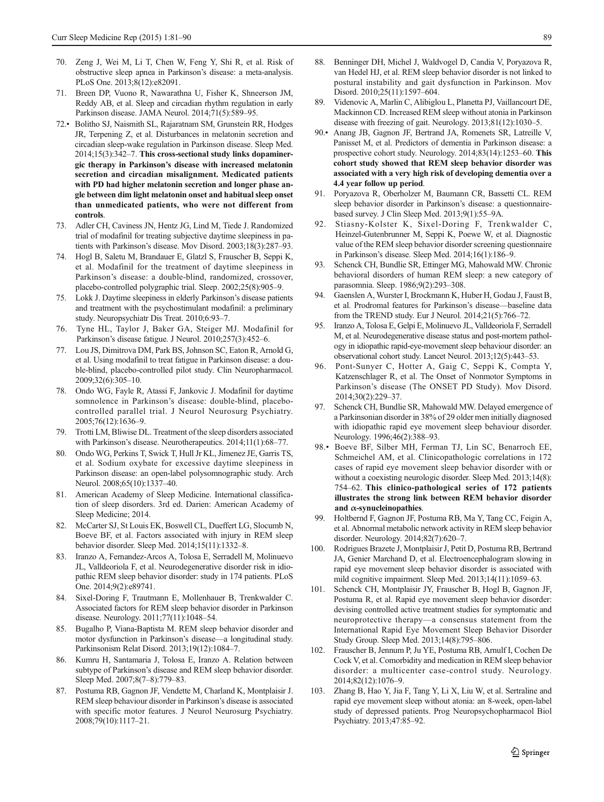- <span id="page-8-0"></span>70. Zeng J, Wei M, Li T, Chen W, Feng Y, Shi R, et al. Risk of obstructive sleep apnea in Parkinson's disease: a meta-analysis. PLoS One. 2013;8(12):e82091.
- 71. Breen DP, Vuono R, Nawarathna U, Fisher K, Shneerson JM, Reddy AB, et al. Sleep and circadian rhythm regulation in early Parkinson disease. JAMA Neurol. 2014;71(5):589–95.
- 72.• Bolitho SJ, Naismith SL, Rajaratnam SM, Grunstein RR, Hodges JR, Terpening Z, et al. Disturbances in melatonin secretion and circadian sleep-wake regulation in Parkinson disease. Sleep Med. 2014;15(3):342–7. This cross-sectional study links dopaminergic therapy in Parkinson's disease with increased melatonin secretion and circadian misalignment. Medicated patients with PD had higher melatonin secretion and longer phase angle between dim light melatonin onset and habitual sleep onset than unmedicated patients, who were not different from controls.
- 73. Adler CH, Caviness JN, Hentz JG, Lind M, Tiede J. Randomized trial of modafinil for treating subjective daytime sleepiness in patients with Parkinson's disease. Mov Disord. 2003;18(3):287–93.
- 74. Hogl B, Saletu M, Brandauer E, Glatzl S, Frauscher B, Seppi K, et al. Modafinil for the treatment of daytime sleepiness in Parkinson's disease: a double-blind, randomized, crossover, placebo-controlled polygraphic trial. Sleep. 2002;25(8):905–9.
- 75. Lokk J. Daytime sleepiness in elderly Parkinson's disease patients and treatment with the psychostimulant modafinil: a preliminary study. Neuropsychiatr Dis Treat. 2010;6:93–7.
- 76. Tyne HL, Taylor J, Baker GA, Steiger MJ. Modafinil for Parkinson's disease fatigue. J Neurol. 2010;257(3):452–6.
- 77. Lou JS, Dimitrova DM, Park BS, Johnson SC, Eaton R, Arnold G, et al. Using modafinil to treat fatigue in Parkinson disease: a double-blind, placebo-controlled pilot study. Clin Neuropharmacol. 2009;32(6):305–10.
- 78. Ondo WG, Fayle R, Atassi F, Jankovic J. Modafinil for daytime somnolence in Parkinson's disease: double-blind, placebocontrolled parallel trial. J Neurol Neurosurg Psychiatry. 2005;76(12):1636–9.
- 79. Trotti LM, Bliwise DL. Treatment of the sleep disorders associated with Parkinson's disease. Neurotherapeutics. 2014;11(1):68–77.
- 80. Ondo WG, Perkins T, Swick T, Hull Jr KL, Jimenez JE, Garris TS, et al. Sodium oxybate for excessive daytime sleepiness in Parkinson disease: an open-label polysomnographic study. Arch Neurol. 2008;65(10):1337–40.
- 81. American Academy of Sleep Medicine. International classification of sleep disorders. 3rd ed. Darien: American Academy of Sleep Medicine; 2014.
- 82. McCarter SJ, St Louis EK, Boswell CL, Dueffert LG, Slocumb N, Boeve BF, et al. Factors associated with injury in REM sleep behavior disorder. Sleep Med. 2014;15(11):1332–8.
- 83. Iranzo A, Fernandez-Arcos A, Tolosa E, Serradell M, Molinuevo JL, Valldeoriola F, et al. Neurodegenerative disorder risk in idiopathic REM sleep behavior disorder: study in 174 patients. PLoS One. 2014;9(2):e89741.
- 84. Sixel-Doring F, Trautmann E, Mollenhauer B, Trenkwalder C. Associated factors for REM sleep behavior disorder in Parkinson disease. Neurology. 2011;77(11):1048–54.
- 85. Bugalho P, Viana-Baptista M. REM sleep behavior disorder and motor dysfunction in Parkinson's disease—a longitudinal study. Parkinsonism Relat Disord. 2013;19(12):1084–7.
- 86. Kumru H, Santamaria J, Tolosa E, Iranzo A. Relation between subtype of Parkinson's disease and REM sleep behavior disorder. Sleep Med. 2007;8(7–8):779–83.
- 87. Postuma RB, Gagnon JF, Vendette M, Charland K, Montplaisir J. REM sleep behaviour disorder in Parkinson's disease is associated with specific motor features. J Neurol Neurosurg Psychiatry. 2008;79(10):1117–21.
- 88. Benninger DH, Michel J, Waldvogel D, Candia V, Poryazova R, van Hedel HJ, et al. REM sleep behavior disorder is not linked to postural instability and gait dysfunction in Parkinson. Mov Disord. 2010;25(11):1597–604.
- 89. Videnovic A, Marlin C, Alibiglou L, Planetta PJ, Vaillancourt DE, Mackinnon CD. Increased REM sleep without atonia in Parkinson disease with freezing of gait. Neurology. 2013;81(12):1030–5.
- 90.• Anang JB, Gagnon JF, Bertrand JA, Romenets SR, Latreille V, Panisset M, et al. Predictors of dementia in Parkinson disease: a prospective cohort study. Neurology. 2014;83(14):1253–60. This cohort study showed that REM sleep behavior disorder was associated with a very high risk of developing dementia over a 4.4 year follow up period.
- 91. Poryazova R, Oberholzer M, Baumann CR, Bassetti CL. REM sleep behavior disorder in Parkinson's disease: a questionnairebased survey. J Clin Sleep Med. 2013;9(1):55–9A.
- 92. Stiasny-Kolster K, Sixel-Doring F, Trenkwalder C, Heinzel-Gutenbrunner M, Seppi K, Poewe W, et al. Diagnostic value of the REM sleep behavior disorder screening questionnaire in Parkinson's disease. Sleep Med. 2014;16(1):186–9.
- 93. Schenck CH, Bundlie SR, Ettinger MG, Mahowald MW. Chronic behavioral disorders of human REM sleep: a new category of parasomnia. Sleep. 1986;9(2):293–308.
- 94. Gaenslen A, Wurster I, Brockmann K, Huber H, Godau J, Faust B, et al. Prodromal features for Parkinson's disease—baseline data from the TREND study. Eur J Neurol. 2014;21(5):766–72.
- 95. Iranzo A, Tolosa E, Gelpi E, Molinuevo JL, Valldeoriola F, Serradell M, et al. Neurodegenerative disease status and post-mortem pathology in idiopathic rapid-eye-movement sleep behaviour disorder: an observational cohort study. Lancet Neurol. 2013;12(5):443–53.
- 96. Pont-Sunyer C, Hotter A, Gaig C, Seppi K, Compta Y, Katzenschlager R, et al. The Onset of Nonmotor Symptoms in Parkinson's disease (The ONSET PD Study). Mov Disord. 2014;30(2):229–37.
- 97. Schenck CH, Bundlie SR, Mahowald MW. Delayed emergence of a Parkinsonian disorder in 38% of 29 older men initially diagnosed with idiopathic rapid eye movement sleep behaviour disorder. Neurology. 1996;46(2):388–93.
- 98.• Boeve BF, Silber MH, Ferman TJ, Lin SC, Benarroch EE, Schmeichel AM, et al. Clinicopathologic correlations in 172 cases of rapid eye movement sleep behavior disorder with or without a coexisting neurologic disorder. Sleep Med. 2013;14(8): 754–62. This clinico-pathological series of 172 patients illustrates the strong link between REM behavior disorder and  $\alpha$ -synucleinopathies.
- 99. Holtbernd F, Gagnon JF, Postuma RB, Ma Y, Tang CC, Feigin A, et al. Abnormal metabolic network activity in REM sleep behavior disorder. Neurology. 2014;82(7):620–7.
- 100. Rodrigues Brazete J, Montplaisir J, Petit D, Postuma RB, Bertrand JA, Genier Marchand D, et al. Electroencephalogram slowing in rapid eye movement sleep behavior disorder is associated with mild cognitive impairment. Sleep Med. 2013;14(11):1059–63.
- 101. Schenck CH, Montplaisir JY, Frauscher B, Hogl B, Gagnon JF, Postuma R, et al. Rapid eye movement sleep behavior disorder: devising controlled active treatment studies for symptomatic and neuroprotective therapy—a consensus statement from the International Rapid Eye Movement Sleep Behavior Disorder Study Group. Sleep Med. 2013;14(8):795–806.
- 102. Frauscher B, Jennum P, Ju YE, Postuma RB, Arnulf I, Cochen De Cock V, et al. Comorbidity and medication in REM sleep behavior disorder: a multicenter case-control study. Neurology. 2014;82(12):1076–9.
- 103. Zhang B, Hao Y, Jia F, Tang Y, Li X, Liu W, et al. Sertraline and rapid eye movement sleep without atonia: an 8-week, open-label study of depressed patients. Prog Neuropsychopharmacol Biol Psychiatry. 2013;47:85–92.